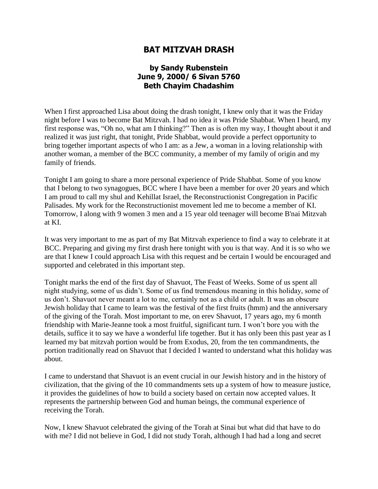## **BAT MITZVAH DRASH**

## **by Sandy Rubenstein June 9, 2000/ 6 Sivan 5760 Beth Chayim Chadashim**

When I first approached Lisa about doing the drash tonight, I knew only that it was the Friday night before I was to become Bat Mitzvah. I had no idea it was Pride Shabbat. When I heard, my first response was, "Oh no, what am I thinking?" Then as is often my way, I thought about it and realized it was just right, that tonight, Pride Shabbat, would provide a perfect opportunity to bring together important aspects of who I am: as a Jew, a woman in a loving relationship with another woman, a member of the BCC community, a member of my family of origin and my family of friends.

Tonight I am going to share a more personal experience of Pride Shabbat. Some of you know that I belong to two synagogues, BCC where I have been a member for over 20 years and which I am proud to call my shul and Kehillat Israel, the Reconstructionist Congregation in Pacific Palisades. My work for the Reconstructionist movement led me to become a member of KI. Tomorrow, I along with 9 women 3 men and a 15 year old teenager will become B'nai Mitzvah at KI.

It was very important to me as part of my Bat Mitzvah experience to find a way to celebrate it at BCC. Preparing and giving my first drash here tonight with you is that way. And it is so who we are that I knew I could approach Lisa with this request and be certain I would be encouraged and supported and celebrated in this important step.

Tonight marks the end of the first day of Shavuot, The Feast of Weeks. Some of us spent all night studying, some of us didn't. Some of us find tremendous meaning in this holiday, some of us don't. Shavuot never meant a lot to me, certainly not as a child or adult. It was an obscure Jewish holiday that I came to learn was the festival of the first fruits (hmm) and the anniversary of the giving of the Torah. Most important to me, on erev Shavuot, 17 years ago, my 6 month friendship with Marie-Jeanne took a most fruitful, significant turn. I won't bore you with the details, suffice it to say we have a wonderful life together. But it has only been this past year as I learned my bat mitzvah portion would be from Exodus, 20, from the ten commandments, the portion traditionally read on Shavuot that I decided I wanted to understand what this holiday was about.

I came to understand that Shavuot is an event crucial in our Jewish history and in the history of civilization, that the giving of the 10 commandments sets up a system of how to measure justice, it provides the guidelines of how to build a society based on certain now accepted values. It represents the partnership between God and human beings, the communal experience of receiving the Torah.

Now, I knew Shavuot celebrated the giving of the Torah at Sinai but what did that have to do with me? I did not believe in God, I did not study Torah, although I had had a long and secret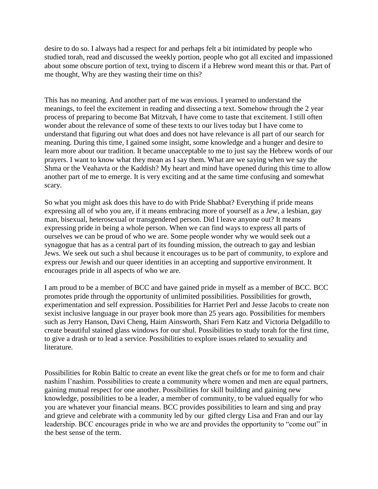desire to do so. I always had a respect for and perhaps felt a bit intimidated by people who studied torah, read and discussed the weekly portion, people who got all excited and impassioned about some obscure portion of text, trying to discern if a Hebrew word meant this or that. Part of me thought, Why are they wasting their time on this?

This has no meaning. And another part of me was envious. I yearned to understand the meanings, to feel the excitement in reading and dissecting a text. Somehow through the 2 year process of preparing to become Bat Mitzvah, I have come to taste that excitement. I still often wonder about the relevance of some of these texts to our lives today but I have come to understand that figuring out what does and does not have relevance is all part of our search for meaning. During this time, I gained some insight, some knowledge and a hunger and desire to learn more about our tradition. It became unacceptable to me to just say the Hebrew words of our prayers. I want to know what they mean as I say them. What are we saying when we say the Shma or the Veahavta or the Kaddish? My heart and mind have opened during this time to allow another part of me to emerge. It is very exciting and at the same time confusing and somewhat scary.

So what you might ask does this have to do with Pride Shabbat? Everything if pride means expressing all of who you are, if it means embracing more of yourself as a Jew, a lesbian, gay man, bisexual, heterosexual or transgendered person. Did I leave anyone out? It means expressing pride in being a whole person. When we can find ways to express all parts of ourselves we can be proud of who we are. Some people wonder why we would seek out a synagogue that has as a central part of its founding mission, the outreach to gay and lesbian Jews. We seek out such a shul because it encourages us to be part of community, to explore and express our Jewish and our queer identities in an accepting and supportive environment. It encourages pride in all aspects of who we are.

I am proud to be a member of BCC and have gained pride in myself as a member of BCC. BCC promotes pride through the opportunity of unlimited possibilities. Possibilities for growth, experimentation and self expression. Possibilities for Harriet Perl and Jesse Jacobs to create non sexist inclusive language in our prayer book more than 25 years ago. Possibilities for members such as Jerry Hanson, Davi Cheng, Haim Ainsworth, Shari Fern Katz and Victoria Delgadillo to create beautiful stained glass windows for our shul. Possibilities to study torah for the first time, to give a drash or to lead a service. Possibilities to explore issues related to sexuality and literature.

Possibilities for Robin Baltic to create an event like the great chefs or for me to form and chair nashim l'nashim. Possibilities to create a community where women and men are equal partners, gaining mutual respect for one another. Possibilities for skill building and gaining new knowledge, possibilities to be a leader, a member of community, to be valued equally for who you are whatever your financial means. BCC provides possibilities to learn and sing and pray and grieve and celebrate with a community led by our gifted clergy Lisa and Fran and our lay leadership. BCC encourages pride in who we are and provides the opportunity to "come out" in the best sense of the term.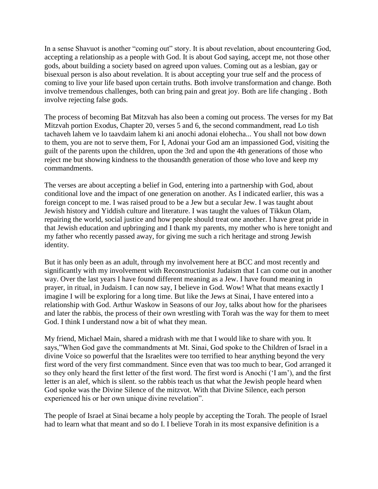In a sense Shavuot is another "coming out" story. It is about revelation, about encountering God, accepting a relationship as a people with God. It is about God saying, accept me, not those other gods, about building a society based on agreed upon values. Coming out as a lesbian, gay or bisexual person is also about revelation. It is about accepting your true self and the process of coming to live your life based upon certain truths. Both involve transformation and change. Both involve tremendous challenges, both can bring pain and great joy. Both are life changing . Both involve rejecting false gods.

The process of becoming Bat Mitzvah has also been a coming out process. The verses for my Bat Mitzvah portion Exodus, Chapter 20, verses 5 and 6, the second commandment, read Lo tish tachaveh lahem ve lo taavdaim lahem ki ani anochi adonai elohecha... You shall not bow down to them, you are not to serve them, For I, Adonai your God am an impassioned God, visiting the guilt of the parents upon the children, upon the 3rd and upon the 4th generations of those who reject me but showing kindness to the thousandth generation of those who love and keep my commandments.

The verses are about accepting a belief in God, entering into a partnership with God, about conditional love and the impact of one generation on another. As I indicated earlier, this was a foreign concept to me. I was raised proud to be a Jew but a secular Jew. I was taught about Jewish history and Yiddish culture and literature. I was taught the values of Tikkun Olam, repairing the world, social justice and how people should treat one another. I have great pride in that Jewish education and upbringing and I thank my parents, my mother who is here tonight and my father who recently passed away, for giving me such a rich heritage and strong Jewish identity.

But it has only been as an adult, through my involvement here at BCC and most recently and significantly with my involvement with Reconstructionist Judaism that I can come out in another way. Over the last years I have found different meaning as a Jew. I have found meaning in prayer, in ritual, in Judaism. I can now say, I believe in God. Wow! What that means exactly I imagine I will be exploring for a long time. But like the Jews at Sinai, I have entered into a relationship with God. Arthur Waskow in Seasons of our Joy, talks about how for the pharisees and later the rabbis, the process of their own wrestling with Torah was the way for them to meet God. I think I understand now a bit of what they mean.

My friend, Michael Main, shared a midrash with me that I would like to share with you. It says,"When God gave the commandments at Mt. Sinai, God spoke to the Children of Israel in a divine Voice so powerful that the Israelites were too terrified to hear anything beyond the very first word of the very first commandment. Since even that was too much to bear, God arranged it so they only heard the first letter of the first word. The first word is Anochi ('I am'), and the first letter is an alef, which is silent. so the rabbis teach us that what the Jewish people heard when God spoke was the Divine Silence of the mitzvot. With that Divine Silence, each person experienced his or her own unique divine revelation".

The people of Israel at Sinai became a holy people by accepting the Torah. The people of Israel had to learn what that meant and so do I. I believe Torah in its most expansive definition is a